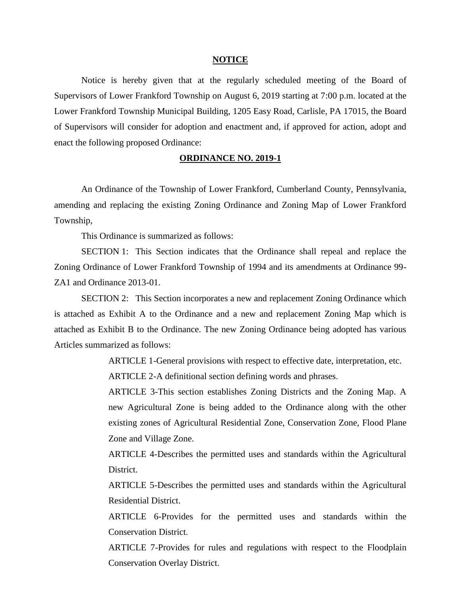## **NOTICE**

Notice is hereby given that at the regularly scheduled meeting of the Board of Supervisors of Lower Frankford Township on August 6, 2019 starting at 7:00 p.m. located at the Lower Frankford Township Municipal Building, 1205 Easy Road, Carlisle, PA 17015, the Board of Supervisors will consider for adoption and enactment and, if approved for action, adopt and enact the following proposed Ordinance:

## **ORDINANCE NO. 2019-1**

An Ordinance of the Township of Lower Frankford, Cumberland County, Pennsylvania, amending and replacing the existing Zoning Ordinance and Zoning Map of Lower Frankford Township,

This Ordinance is summarized as follows:

SECTION 1: This Section indicates that the Ordinance shall repeal and replace the Zoning Ordinance of Lower Frankford Township of 1994 and its amendments at Ordinance 99- ZA1 and Ordinance 2013-01.

SECTION 2: This Section incorporates a new and replacement Zoning Ordinance which is attached as Exhibit A to the Ordinance and a new and replacement Zoning Map which is attached as Exhibit B to the Ordinance. The new Zoning Ordinance being adopted has various Articles summarized as follows:

ARTICLE 1-General provisions with respect to effective date, interpretation, etc.

ARTICLE 2-A definitional section defining words and phrases.

ARTICLE 3-This section establishes Zoning Districts and the Zoning Map. A new Agricultural Zone is being added to the Ordinance along with the other existing zones of Agricultural Residential Zone, Conservation Zone, Flood Plane Zone and Village Zone.

ARTICLE 4-Describes the permitted uses and standards within the Agricultural District.

ARTICLE 5-Describes the permitted uses and standards within the Agricultural Residential District.

ARTICLE 6-Provides for the permitted uses and standards within the Conservation District.

ARTICLE 7-Provides for rules and regulations with respect to the Floodplain Conservation Overlay District.